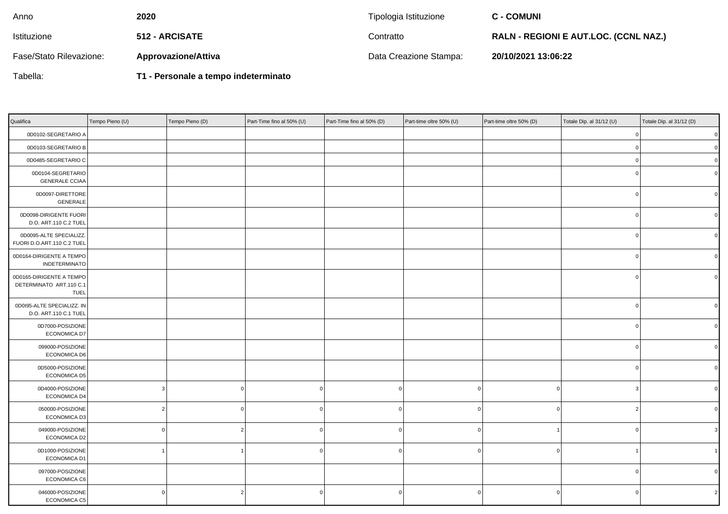| Anno                    | 2020                       | Tipologia Istituzione  | <b>C - COMUNI</b>                            |
|-------------------------|----------------------------|------------------------|----------------------------------------------|
| Istituzione             | <b>512 - ARCISATE</b>      | Contratto              | <b>RALN - REGIONI E AUT.LOC. (CCNL NAZ.)</b> |
| Fase/Stato Rilevazione: | <b>Approvazione/Attiva</b> | Data Creazione Stampa: | 20/10/2021 13:06:22                          |

Tabella:

**T1 - Personale a tempo indeterminato**

| Qualifica                                                          | Tempo Pieno (U) | Tempo Pieno (D) | Part-Time fino al 50% (U) | Part-Time fino al 50% (D) | Part-time oltre 50% (U) | Part-time oltre 50% (D) | Totale Dip. al 31/12 (U) | Totale Dip. al 31/12 (D) |
|--------------------------------------------------------------------|-----------------|-----------------|---------------------------|---------------------------|-------------------------|-------------------------|--------------------------|--------------------------|
| 0D0102-SEGRETARIO A                                                |                 |                 |                           |                           |                         |                         |                          | $\pmb{0}$                |
| 0D0103-SEGRETARIO B                                                |                 |                 |                           |                           |                         |                         |                          | $\mathbf 0$              |
| 0D0485-SEGRETARIO C                                                |                 |                 |                           |                           |                         |                         |                          | $\overline{0}$           |
| 0D0104-SEGRETARIO<br><b>GENERALE CCIAA</b>                         |                 |                 |                           |                           |                         |                         |                          | $\overline{0}$           |
| 0D0097-DIRETTORE<br>GENERALE                                       |                 |                 |                           |                           |                         |                         |                          | $\mathbf 0$              |
| 0D0098-DIRIGENTE FUORI<br>D.O. ART.110 C.2 TUEL                    |                 |                 |                           |                           |                         |                         |                          | $\overline{0}$           |
| 0D0095-ALTE SPECIALIZZ.<br>FUORI D.O.ART.110 C.2 TUEL              |                 |                 |                           |                           |                         |                         |                          | $\overline{0}$           |
| 0D0164-DIRIGENTE A TEMPO<br><b>INDETERMINATO</b>                   |                 |                 |                           |                           |                         |                         |                          | $\overline{0}$           |
| 0D0165-DIRIGENTE A TEMPO<br>DETERMINATO ART.110 C.1<br><b>TUEL</b> |                 |                 |                           |                           |                         |                         |                          | $\Omega$                 |
| 0D0I95-ALTE SPECIALIZZ. IN<br>D.O. ART.110 C.1 TUEL                |                 |                 |                           |                           |                         |                         | C                        | $\mathbf 0$              |
| 0D7000-POSIZIONE<br>ECONOMICA D7                                   |                 |                 |                           |                           |                         |                         |                          | $\Omega$                 |
| 099000-POSIZIONE<br><b>ECONOMICA D6</b>                            |                 |                 |                           |                           |                         |                         |                          | $\mathbf 0$              |
| 0D5000-POSIZIONE<br>ECONOMICA D5                                   |                 |                 |                           |                           |                         |                         |                          | $\mathbf 0$              |
| 0D4000-POSIZIONE<br>ECONOMICA D4                                   |                 | 0               |                           |                           | $\Omega$                |                         |                          | $\Omega$                 |
| 050000-POSIZIONE<br>ECONOMICA D3                                   |                 | 0               |                           |                           | $\Omega$                |                         |                          | $\Omega$                 |
| 049000-POSIZIONE<br>ECONOMICA D2                                   |                 | 2               |                           |                           | $\Omega$                |                         |                          | 3                        |
| 0D1000-POSIZIONE<br>ECONOMICA D1                                   |                 | $\overline{1}$  |                           |                           | $\Omega$                |                         |                          |                          |
| 097000-POSIZIONE<br>ECONOMICA C6                                   |                 |                 |                           |                           |                         |                         | n                        | $\Omega$                 |
| 046000-POSIZIONE<br>ECONOMICA C5                                   | $\Omega$        | 2               |                           |                           | $\Omega$                |                         | C                        | $\overline{2}$           |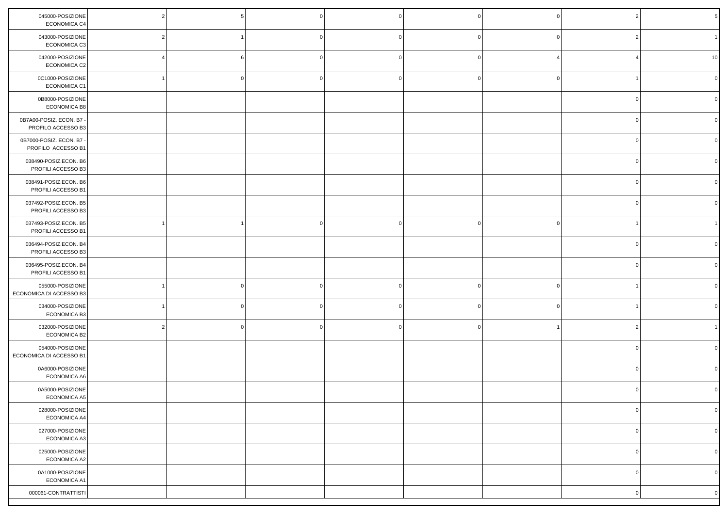| 045000-POSIZIONE<br>ECONOMICA C4               |  |  |  |             |              |
|------------------------------------------------|--|--|--|-------------|--------------|
| 043000-POSIZIONE<br>ECONOMICA C3               |  |  |  |             |              |
| 042000-POSIZIONE<br>ECONOMICA C2               |  |  |  |             | 10           |
| 0C1000-POSIZIONE<br>ECONOMICA C1               |  |  |  |             |              |
| 0B8000-POSIZIONE<br>ECONOMICA B8               |  |  |  |             |              |
| 0B7A00-POSIZ. ECON. B7 -<br>PROFILO ACCESSO B3 |  |  |  |             |              |
| 0B7000-POSIZ. ECON. B7<br>PROFILO ACCESSO B1   |  |  |  |             |              |
| 038490-POSIZ.ECON. B6<br>PROFILI ACCESSO B3    |  |  |  |             |              |
| 038491-POSIZ.ECON. B6<br>PROFILI ACCESSO B1    |  |  |  |             |              |
| 037492-POSIZ.ECON. B5<br>PROFILI ACCESSO B3    |  |  |  |             |              |
| 037493-POSIZ.ECON. B5<br>PROFILI ACCESSO B1    |  |  |  |             |              |
| 036494-POSIZ.ECON. B4<br>PROFILI ACCESSO B3    |  |  |  |             |              |
| 036495-POSIZ.ECON. B4<br>PROFILI ACCESSO B1    |  |  |  |             |              |
| 055000-POSIZIONE<br>ECONOMICA DI ACCESSO B3    |  |  |  |             |              |
| 034000-POSIZIONE<br>ECONOMICA B3               |  |  |  |             |              |
| 032000-POSIZIONE<br>ECONOMICA B2               |  |  |  |             |              |
| 054000-POSIZIONE<br>ECONOMICA DI ACCESSO B1    |  |  |  |             |              |
| 0A6000-POSIZIONE<br>ECONOMICA A6               |  |  |  |             |              |
| 0A5000-POSIZIONE<br>ECONOMICA A5               |  |  |  |             |              |
| 028000-POSIZIONE<br>ECONOMICA A4               |  |  |  | $\circ$     | $\circ$      |
| 027000-POSIZIONE<br>ECONOMICA A3               |  |  |  | $\mathbf 0$ | $\mathbf{0}$ |
| 025000-POSIZIONE<br>ECONOMICA A2               |  |  |  | $\mathbf 0$ | $\mathbf 0$  |
| 0A1000-POSIZIONE<br>ECONOMICA A1               |  |  |  | $\mathbf 0$ | $\mathbf 0$  |
| 000061-CONTRATTISTI                            |  |  |  | $\mathbf 0$ | $\mathbf 0$  |